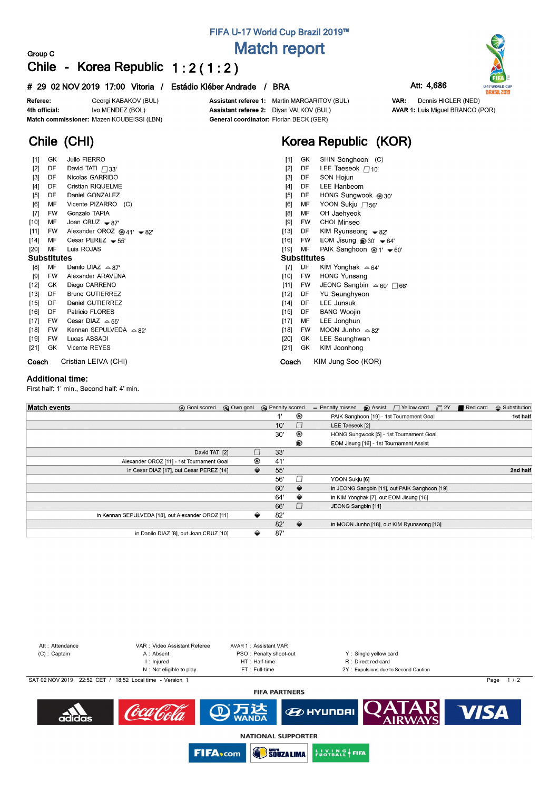# **FIFA U-17 World Cup Brazil 2019™ Match report**

# **Group C Chile - Korea Republic 1 : 2 ( 1 : 2 )**

### **# 29 02 NOV 2019 17:00 Vitoria / Estádio Kléber Andrade / BRA Att: 4,686**

Dennis HIGLER (NED)

**AVAR 1:** Luis Miguel BRANCO (POR)

VAR:



Georgi KABAKOV (BUL) Referee: Ivo MENDEZ (BOL) 4th official: Match commissioner: Mazen KOUBEISSI (LBN)

**Chile (CHI)**

Assistant referee 1: Martin MARGARITOV (BUL) Assistant referee 2: Diyan VALKOV (BUL) General coordinator: Florian BECK (GER)

# **Korea Republic (KOR)**

| $[1]$              | GK        | <b>Julio FIERRO</b>              | $[1]$<br>GK<br>SHIN Songhoon (C)                                          |
|--------------------|-----------|----------------------------------|---------------------------------------------------------------------------|
| $[2]$              | DF        | David TATI $\bigcap$ 33'         | DF<br>$[2]$<br>LEE Taeseok $\Box$ 10'                                     |
| $\lceil 3 \rceil$  | DF        | Nicolas GARRIDO                  | SON Hojun<br>DF<br>$\lceil 3 \rceil$                                      |
| $[4]$              | DF        | Cristian RIQUELME                | LEE Hanbeom<br>DF<br>[4]                                                  |
| $[5]$              | DF        | Daniel GONZALEZ                  | HONG Sungwook @ 30'<br>[5]<br>DF                                          |
| [6]                | МF        | Vicente PIZARRO (C)              | YOON Sukju □ 56'<br>[6]<br>MF                                             |
| $[7]$              | <b>FW</b> | Gonzalo TAPIA                    | MF<br>OH Jaehyeok<br>[8]                                                  |
| $[10]$             | MF        | Joan CRUZ $-87'$                 | [9]<br>CHOI Minseo<br><b>FW</b>                                           |
| $[11]$             | FW        | Alexander OROZ $@41' - 82'$      | $[13]$<br>DF<br>KIM Ryunseong $-82$                                       |
| $[14]$             | MF        | Cesar PEREZ $-55'$               | $[16]$<br><b>FW</b><br>EOM Jisung $\otimes$ 30' $\blacktriangleright$ 64' |
| $[20]$             | MF        | Luis ROJAS                       | MF<br>[19]<br>PAIK Sanghoon <sup>@</sup> 1' <del>▼</del> 60'              |
| <b>Substitutes</b> |           |                                  | <b>Substitutes</b>                                                        |
| [8]                | MF        | Danilo DIAZ $\triangle 87'$      | DF<br>$[7]$<br>KIM Yonghak $\approx 64'$                                  |
| [9]                | <b>FW</b> | Alexander ARAVENA                | <b>HONG Yunsang</b><br>[10]<br><b>FW</b>                                  |
| $[12]$             | GK.       | Diego CARRENO                    | [11]<br>JEONG Sangbin $\approx 60'$ 766'<br><b>FW</b>                     |
| $[13]$             | DF        | <b>Bruno GUTIERREZ</b>           | $[12]$<br>DF<br>YU Seunghyeon                                             |
| [15]               | DF        | Daniel GUTIERREZ                 | LEE Junsuk<br>$[14]$<br>DF                                                |
| $[16]$             | DF        | Patricio FLORES                  | <b>BANG Woojin</b><br>$[15]$<br>DF                                        |
| [17]               | <b>FW</b> | Cesar DIAZ $\approx$ 55'         | [17]<br>MF<br>LEE Jonghun                                                 |
| $[18]$             | <b>FW</b> | Kennan SEPULVEDA $\triangle$ 82' | MOON Junho $\approx 82'$<br>[18]<br>FW                                    |
| $[19]$             | <b>FW</b> | Lucas ASSADI                     | LEE Seunghwan<br>$[20]$<br>GK                                             |
| [21]               | GK        | <b>Vicente REYES</b>             | [21]<br>GK<br>KIM Joonhong                                                |
| Coach              |           | Cristian LEIVA (CHI)             | KIM Jung Soo (KOR)<br>Coach                                               |

### **Additional time:**

First half: 1' min., Second half: 4' min.

| <b>Match events</b><br><b>B</b> Goal scored       | © Own goal | <b>B</b> Penalty scored |               | - Penalty missed   | $\bigcirc$ Assist $\bigcap$ Yellow card $\bigcap$ 2Y | Red card | $\Leftrightarrow$ Substitution |
|---------------------------------------------------|------------|-------------------------|---------------|--------------------|------------------------------------------------------|----------|--------------------------------|
|                                                   |            |                         | ⊛             |                    | PAIK Sanghoon [19] - 1st Tournament Goal             |          | 1st half                       |
|                                                   |            | 10'                     | $\Box$        | LEE Taeseok [2]    |                                                      |          |                                |
|                                                   |            | 30'                     | ⊛             |                    | HONG Sungwook [5] - 1st Tournament Goal              |          |                                |
|                                                   |            |                         | ®             |                    | EOM Jisung [16] - 1st Tournament Assist              |          |                                |
| David TATI [2]                                    |            | П<br>33'                |               |                    |                                                      |          |                                |
| Alexander OROZ [11] - 1st Tournament Goal         |            | ◉<br>41'                |               |                    |                                                      |          |                                |
| in Cesar DIAZ [17], out Cesar PEREZ [14]          |            | ⇔<br>55'                |               |                    |                                                      |          | 2nd half                       |
|                                                   |            | 56'                     | П             | YOON Sukju [6]     |                                                      |          |                                |
|                                                   |            | 60'                     | $\Rightarrow$ |                    | in JEONG Sangbin [11], out PAIK Sanghoon [19]        |          |                                |
|                                                   |            | 64'                     | ⇔             |                    | in KIM Yonghak [7], out EOM Jisung [16]              |          |                                |
|                                                   |            | 66'                     | П             | JEONG Sangbin [11] |                                                      |          |                                |
| in Kennan SEPULVEDA [18], out Alexander OROZ [11] |            | 82'<br>⇔                |               |                    |                                                      |          |                                |
|                                                   |            | 82'                     | $\Rightarrow$ |                    | in MOON Junho [18], out KIM Ryunseong [13]           |          |                                |
| in Danilo DIAZ [8], out Joan CRUZ [10]            |            | ⇔<br>87'                |               |                    |                                                      |          |                                |





**EUVING FIFA** 

**FIFA**<sub>scom</sub>